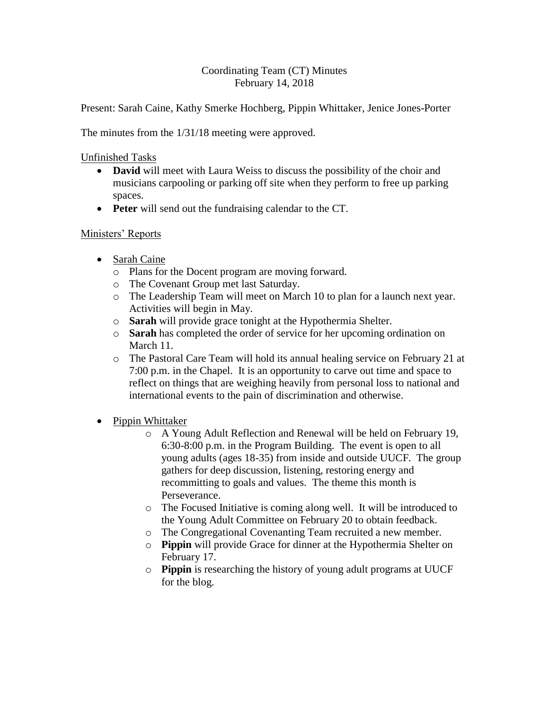#### Coordinating Team (CT) Minutes February 14, 2018

Present: Sarah Caine, Kathy Smerke Hochberg, Pippin Whittaker, Jenice Jones-Porter

The minutes from the 1/31/18 meeting were approved.

Unfinished Tasks

- David will meet with Laura Weiss to discuss the possibility of the choir and musicians carpooling or parking off site when they perform to free up parking spaces.
- **Peter** will send out the fundraising calendar to the CT.

# Ministers' Reports

- Sarah Caine
	- o Plans for the Docent program are moving forward.
	- o The Covenant Group met last Saturday.
	- o The Leadership Team will meet on March 10 to plan for a launch next year. Activities will begin in May.
	- o **Sarah** will provide grace tonight at the Hypothermia Shelter.
	- o **Sarah** has completed the order of service for her upcoming ordination on March 11.
	- o The Pastoral Care Team will hold its annual healing service on February 21 at 7:00 p.m. in the Chapel. It is an opportunity to carve out time and space to reflect on things that are weighing heavily from personal loss to national and international events to the pain of discrimination and otherwise.
- Pippin Whittaker
	- o A Young Adult Reflection and Renewal will be held on February 19, 6:30-8:00 p.m. in the Program Building. The event is open to all young adults (ages 18-35) from inside and outside UUCF. The group gathers for deep discussion, listening, restoring energy and recommitting to goals and values. The theme this month is Perseverance.
	- o The Focused Initiative is coming along well. It will be introduced to the Young Adult Committee on February 20 to obtain feedback.
	- o The Congregational Covenanting Team recruited a new member.
	- o **Pippin** will provide Grace for dinner at the Hypothermia Shelter on February 17.
	- o **Pippin** is researching the history of young adult programs at UUCF for the blog.